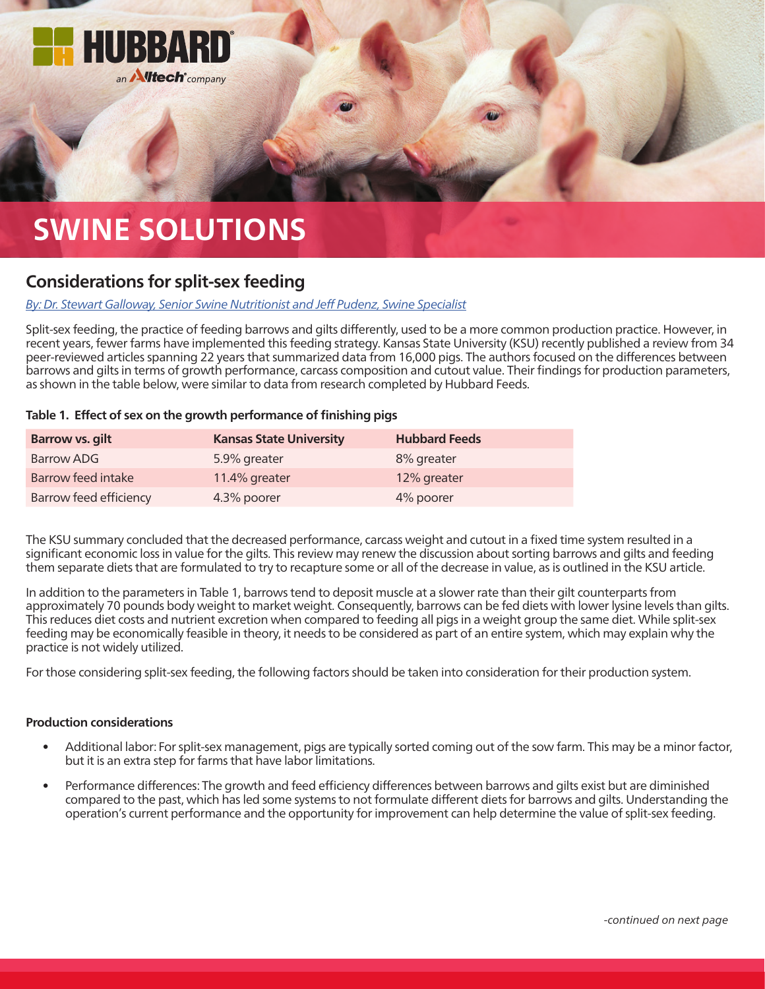

# **SWINE SOLUTIONS**

## **Considerations for split-sex feeding**

### *[By: Dr. Stewart Galloway, Senior Swine Nutritionist and Jeff Pudenz, Swine Specialist](mailto:swineteam%40hubbardfeeds.com?subject=)*

Split-sex feeding, the practice of feeding barrows and gilts differently, used to be a more common production practice. However, in recent years, fewer farms have implemented this feeding strategy. Kansas State University (KSU) recently published a review from 34 peer-reviewed articles spanning 22 years that summarized data from 16,000 pigs. The authors focused on the differences between barrows and gilts in terms of growth performance, carcass composition and cutout value. Their findings for production parameters, as shown in the table below, were similar to data from research completed by Hubbard Feeds.

#### **Table 1. Effect of sex on the growth performance of finishing pigs**

| <b>Barrow vs. gilt</b> | <b>Kansas State University</b> | <b>Hubbard Feeds</b> |
|------------------------|--------------------------------|----------------------|
| Barrow ADG             | 5.9% greater                   | 8% greater           |
| Barrow feed intake     | 11.4% greater                  | 12% greater          |
| Barrow feed efficiency | 4.3% poorer                    | 4% poorer            |

The KSU summary concluded that the decreased performance, carcass weight and cutout in a fixed time system resulted in a significant economic loss in value for the gilts. This review may renew the discussion about sorting barrows and gilts and feeding them separate diets that are formulated to try to recapture some or all of the decrease in value, as is outlined in the KSU article.

In addition to the parameters in Table 1, barrows tend to deposit muscle at a slower rate than their gilt counterparts from approximately 70 pounds body weight to market weight. Consequently, barrows can be fed diets with lower lysine levels than gilts. This reduces diet costs and nutrient excretion when compared to feeding all pigs in a weight group the same diet. While split-sex feeding may be economically feasible in theory, it needs to be considered as part of an entire system, which may explain why the practice is not widely utilized.

For those considering split-sex feeding, the following factors should be taken into consideration for their production system.

#### **Production considerations**

- Additional labor: For split-sex management, pigs are typically sorted coming out of the sow farm. This may be a minor factor, but it is an extra step for farms that have labor limitations.
- Performance differences: The growth and feed efficiency differences between barrows and gilts exist but are diminished compared to the past, which has led some systems to not formulate different diets for barrows and gilts. Understanding the operation's current performance and the opportunity for improvement can help determine the value of split-sex feeding.